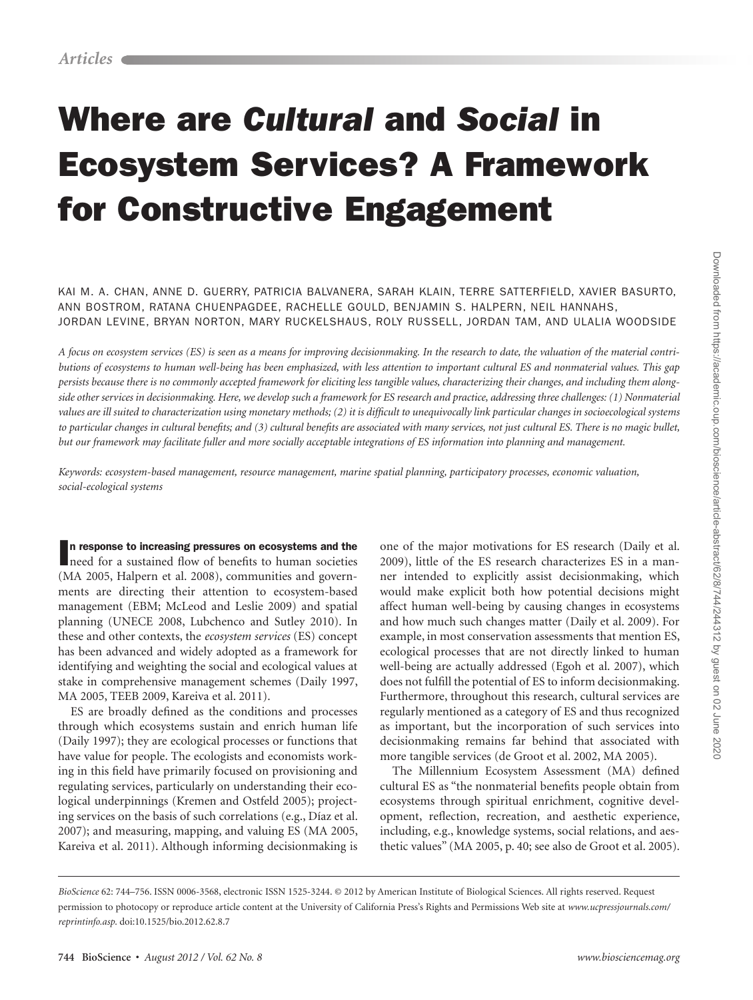# Where are *Cultural* and *Social* in Ecosystem Services? A Framework for Constructive Engagement

Kai M. A. Chan, Anne D. Guerry, Patricia Balvanera, Sarah Klain, Terre Satterfield, Xavier Basurto, Ann Bostrom, Ratana Chuenpagdee, Rachelle Gould, Benjamin S. Halpern, Neil Hannahs, Jordan Levine, Bryan Norton, Mary Ruckelshaus, Roly Russell, Jordan Tam, and Ulalia Woodside

*A focus on ecosystem services (ES) is seen as a means for improving decisionmaking. In the research to date, the valuation of the material contributions of ecosystems to human well-being has been emphasized, with less attention to important cultural ES and nonmaterial values. This gap persists because there is no commonly accepted framework for eliciting less tangible values, characterizing their changes, and including them alongside other services in decisionmaking. Here, we develop such a framework for ES research and practice, addressing three challenges: (1) Nonmaterial values are ill suited to characterization using monetary methods; (2) it is difficult to unequivocally link particular changes in socioecological systems to particular changes in cultural benefits; and (3) cultural benefits are associated with many services, not just cultural ES. There is no magic bullet, but our framework may facilitate fuller and more socially acceptable integrations of ES information into planning and management.*

*Keywords: ecosystem-based management, resource management, marine spatial planning, participatory processes, economic valuation, social-ecological systems*

In response to increasing pressures on ecosystems and the need for a sustained flow of benefits to human societies n response to increasing pressures on ecosystems and the (MA 2005, Halpern et al. 2008), communities and governments are directing their attention to ecosystem-based management (EBM; McLeod and Leslie 2009) and spatial planning (UNECE 2008, Lubchenco and Sutley 2010). In these and other contexts, the *ecosystem services* (ES) concept has been advanced and widely adopted as a framework for identifying and weighting the social and ecological values at stake in comprehensive management schemes (Daily 1997, MA 2005, TEEB 2009, Kareiva et al. 2011).

ES are broadly defined as the conditions and processes through which ecosystems sustain and enrich human life (Daily 1997); they are ecological processes or functions that have value for people. The ecologists and economists working in this field have primarily focused on provisioning and regulating services, particularly on understanding their ecological underpinnings (Kremen and Ostfeld 2005); projecting services on the basis of such correlations (e.g., Díaz et al. 2007); and measuring, mapping, and valuing ES (MA 2005, Kareiva et al. 2011). Although informing decisionmaking is

one of the major motivations for ES research (Daily et al. 2009), little of the ES research characterizes ES in a manner intended to explicitly assist decisionmaking, which would make explicit both how potential decisions might affect human well-being by causing changes in ecosystems and how much such changes matter (Daily et al. 2009). For example, in most conservation assessments that mention ES, ecological processes that are not directly linked to human well-being are actually addressed (Egoh et al. 2007), which does not fulfill the potential of ES to inform decisionmaking. Furthermore, throughout this research, cultural services are regularly mentioned as a category of ES and thus recognized as important, but the incorporation of such services into decisionmaking remains far behind that associated with more tangible services (de Groot et al. 2002, MA 2005).

The Millennium Ecosystem Assessment (MA) defined cultural ES as "the nonmaterial benefits people obtain from ecosystems through spiritual enrichment, cognitive development, reflection, recreation, and aesthetic experience, including, e.g., knowledge systems, social relations, and aesthetic values" (MA 2005, p. 40; see also de Groot et al. 2005).

*BioScience* 62: 744–756. ISSN 0006-3568, electronic ISSN 1525-3244. © 2012 by American Institute of Biological Sciences. All rights reserved. Request permission to photocopy or reproduce article content at the University of California Press's Rights and Permissions Web site at *www.ucpressjournals.com/ reprintinfo.asp*. doi:10.1525/bio.2012.62.8.7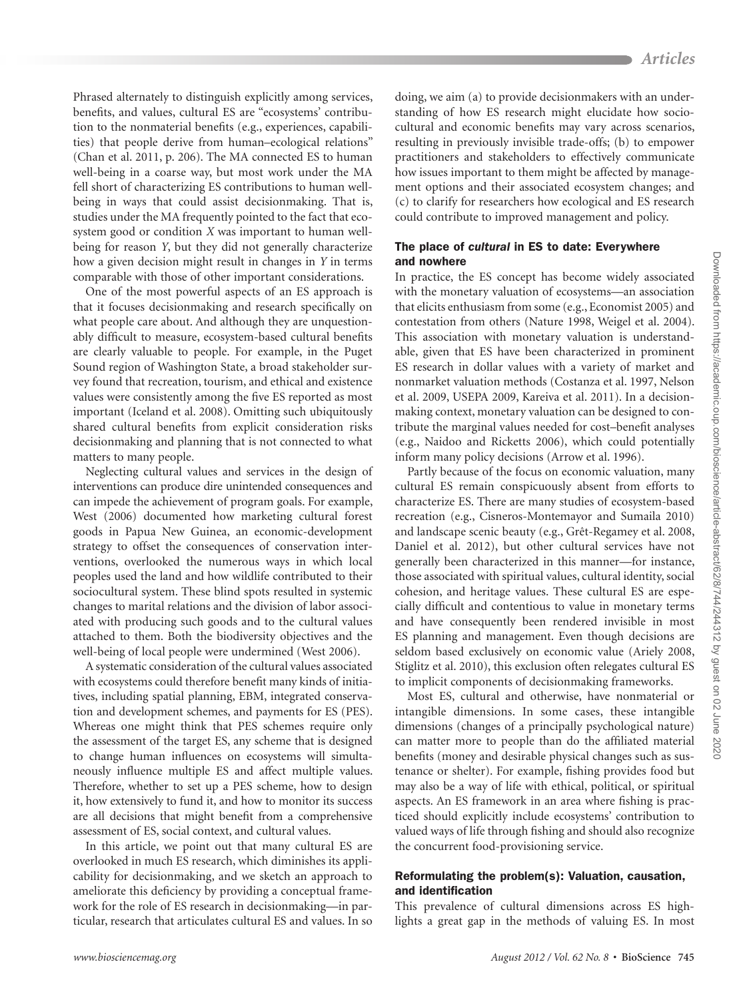Phrased alternately to distinguish explicitly among services, benefits, and values, cultural ES are "ecosystems' contribution to the nonmaterial benefits (e.g., experiences, capabilities) that people derive from human–ecological relations" (Chan et al. 2011, p. 206). The MA connected ES to human well-being in a coarse way, but most work under the MA fell short of characterizing ES contributions to human wellbeing in ways that could assist decisionmaking. That is, studies under the MA frequently pointed to the fact that ecosystem good or condition *X* was important to human wellbeing for reason *Y*, but they did not generally characterize how a given decision might result in changes in *Y* in terms comparable with those of other important considerations.

One of the most powerful aspects of an ES approach is that it focuses decisionmaking and research specifically on what people care about. And although they are unquestionably difficult to measure, ecosystem-based cultural benefits are clearly valuable to people. For example, in the Puget Sound region of Washington State, a broad stakeholder survey found that recreation, tourism, and ethical and existence values were consistently among the five ES reported as most important (Iceland et al. 2008). Omitting such ubiquitously shared cultural benefits from explicit consideration risks decisionmaking and planning that is not connected to what matters to many people.

Neglecting cultural values and services in the design of interventions can produce dire unintended consequences and can impede the achievement of program goals. For example, West (2006) documented how marketing cultural forest goods in Papua New Guinea, an economic-development strategy to offset the consequences of conservation interventions, overlooked the numerous ways in which local peoples used the land and how wildlife contributed to their sociocultural system. These blind spots resulted in systemic changes to marital relations and the division of labor associated with producing such goods and to the cultural values attached to them. Both the biodiversity objectives and the well-being of local people were undermined (West 2006).

A systematic consideration of the cultural values associated with ecosystems could therefore benefit many kinds of initiatives, including spatial planning, EBM, integrated conservation and development schemes, and payments for ES (PES). Whereas one might think that PES schemes require only the assessment of the target ES, any scheme that is designed to change human influences on ecosystems will simultaneously influence multiple ES and affect multiple values. Therefore, whether to set up a PES scheme, how to design it, how extensively to fund it, and how to monitor its success are all decisions that might benefit from a comprehensive assessment of ES, social context, and cultural values.

In this article, we point out that many cultural ES are overlooked in much ES research, which diminishes its applicability for decisionmaking, and we sketch an approach to ameliorate this deficiency by providing a conceptual framework for the role of ES research in decisionmaking—in particular, research that articulates cultural ES and values. In so doing, we aim (a) to provide decisionmakers with an understanding of how ES research might elucidate how sociocultural and economic benefits may vary across scenarios, resulting in previously invisible trade-offs; (b) to empower practitioners and stakeholders to effectively communicate how issues important to them might be affected by management options and their associated ecosystem changes; and (c) to clarify for researchers how ecological and ES research could contribute to improved management and policy.

## The place of *cultural* in ES to date: Everywhere and nowhere

In practice, the ES concept has become widely associated with the monetary valuation of ecosystems—an association that elicits enthusiasm from some (e.g., Economist 2005) and contestation from others (Nature 1998, Weigel et al. 2004). This association with monetary valuation is understandable, given that ES have been characterized in prominent ES research in dollar values with a variety of market and nonmarket valuation methods (Costanza et al. 1997, Nelson et al. 2009, USEPA 2009, Kareiva et al. 2011). In a decisionmaking context, monetary valuation can be designed to contribute the marginal values needed for cost–benefit analyses (e.g., Naidoo and Ricketts 2006), which could potentially inform many policy decisions (Arrow et al. 1996).

Partly because of the focus on economic valuation, many cultural ES remain conspicuously absent from efforts to characterize ES. There are many studies of ecosystem-based recreation (e.g., Cisneros-Montemayor and Sumaila 2010) and landscape scenic beauty (e.g., Grêt-Regamey et al. 2008, Daniel et al. 2012), but other cultural services have not generally been characterized in this manner—for instance, those associated with spiritual values, cultural identity, social cohesion, and heritage values. These cultural ES are especially difficult and contentious to value in monetary terms and have consequently been rendered invisible in most ES planning and management. Even though decisions are seldom based exclusively on economic value (Ariely 2008, Stiglitz et al. 2010), this exclusion often relegates cultural ES to implicit components of decisionmaking frameworks.

Most ES, cultural and otherwise, have nonmaterial or intangible dimensions. In some cases, these intangible dimensions (changes of a principally psychological nature) can matter more to people than do the affiliated material benefits (money and desirable physical changes such as sustenance or shelter). For example, fishing provides food but may also be a way of life with ethical, political, or spiritual aspects. An ES framework in an area where fishing is practiced should explicitly include ecosystems' contribution to valued ways of life through fishing and should also recognize the concurrent food-provisioning service.

## Reformulating the problem(s): Valuation, causation, and identification

This prevalence of cultural dimensions across ES highlights a great gap in the methods of valuing ES. In most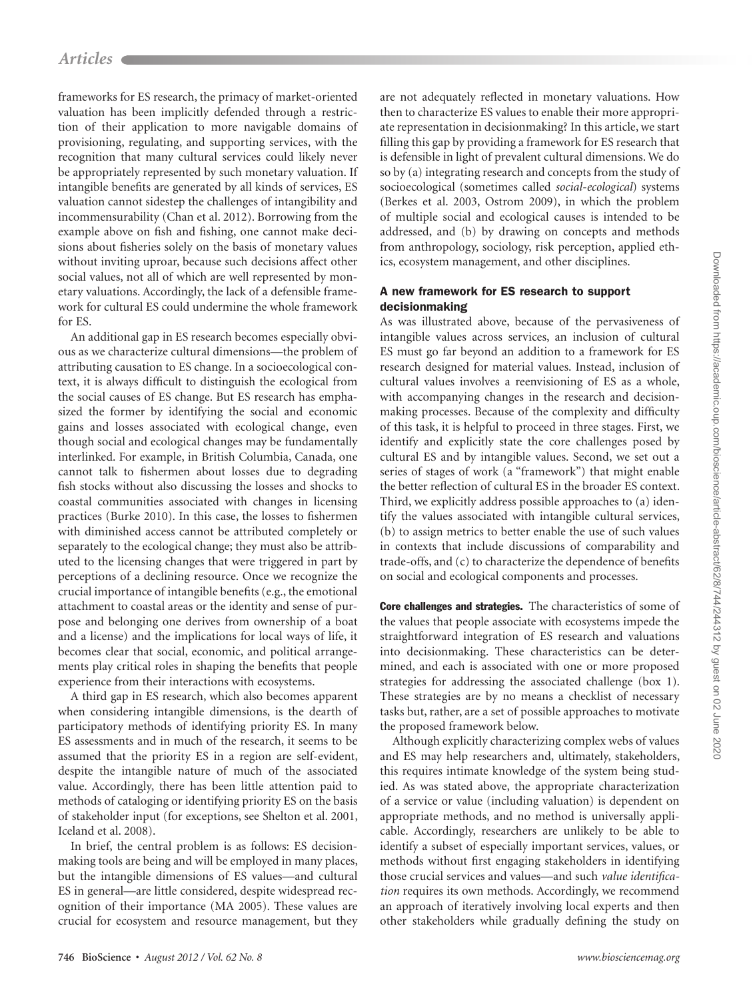frameworks for ES research, the primacy of market-oriented valuation has been implicitly defended through a restriction of their application to more navigable domains of provisioning, regulating, and supporting services, with the recognition that many cultural services could likely never be appropriately represented by such monetary valuation. If intangible benefits are generated by all kinds of services, ES valuation cannot sidestep the challenges of intangibility and incommensurability (Chan et al. 2012). Borrowing from the example above on fish and fishing, one cannot make decisions about fisheries solely on the basis of monetary values without inviting uproar, because such decisions affect other social values, not all of which are well represented by monetary valuations. Accordingly, the lack of a defensible framework for cultural ES could undermine the whole framework for ES.

An additional gap in ES research becomes especially obvious as we characterize cultural dimensions—the problem of attributing causation to ES change. In a socioecological context, it is always difficult to distinguish the ecological from the social causes of ES change. But ES research has emphasized the former by identifying the social and economic gains and losses associated with ecological change, even though social and ecological changes may be fundamentally interlinked. For example, in British Columbia, Canada, one cannot talk to fishermen about losses due to degrading fish stocks without also discussing the losses and shocks to coastal communities associated with changes in licensing practices (Burke 2010). In this case, the losses to fishermen with diminished access cannot be attributed completely or separately to the ecological change; they must also be attributed to the licensing changes that were triggered in part by perceptions of a declining resource. Once we recognize the crucial importance of intangible benefits (e.g., the emotional attachment to coastal areas or the identity and sense of purpose and belonging one derives from ownership of a boat and a license) and the implications for local ways of life, it becomes clear that social, economic, and political arrangements play critical roles in shaping the benefits that people experience from their interactions with ecosystems.

A third gap in ES research, which also becomes apparent when considering intangible dimensions, is the dearth of participatory methods of identifying priority ES. In many ES assessments and in much of the research, it seems to be assumed that the priority ES in a region are self-evident, despite the intangible nature of much of the associated value. Accordingly, there has been little attention paid to methods of cataloging or identifying priority ES on the basis of stakeholder input (for exceptions, see Shelton et al. 2001, Iceland et al. 2008).

In brief, the central problem is as follows: ES decisionmaking tools are being and will be employed in many places, but the intangible dimensions of ES values—and cultural ES in general—are little considered, despite widespread recognition of their importance (MA 2005). These values are crucial for ecosystem and resource management, but they are not adequately reflected in monetary valuations. How then to characterize ES values to enable their more appropriate representation in decisionmaking? In this article, we start filling this gap by providing a framework for ES research that is defensible in light of prevalent cultural dimensions. We do so by (a) integrating research and concepts from the study of socioecological (sometimes called *social-ecological*) systems (Berkes et al. 2003, Ostrom 2009), in which the problem of multiple social and ecological causes is intended to be addressed, and (b) by drawing on concepts and methods from anthropology, sociology, risk perception, applied ethics, ecosystem management, and other disciplines.

## A new framework for ES research to support decisionmaking

As was illustrated above, because of the pervasiveness of intangible values across services, an inclusion of cultural ES must go far beyond an addition to a framework for ES research designed for material values. Instead, inclusion of cultural values involves a reenvisioning of ES as a whole, with accompanying changes in the research and decisionmaking processes. Because of the complexity and difficulty of this task, it is helpful to proceed in three stages. First, we identify and explicitly state the core challenges posed by cultural ES and by intangible values. Second, we set out a series of stages of work (a "framework") that might enable the better reflection of cultural ES in the broader ES context. Third, we explicitly address possible approaches to (a) identify the values associated with intangible cultural services, (b) to assign metrics to better enable the use of such values in contexts that include discussions of comparability and trade-offs, and (c) to characterize the dependence of benefits on social and ecological components and processes.

Core challenges and strategies. The characteristics of some of the values that people associate with ecosystems impede the straightforward integration of ES research and valuations into decisionmaking. These characteristics can be determined, and each is associated with one or more proposed strategies for addressing the associated challenge (box 1). These strategies are by no means a checklist of necessary tasks but, rather, are a set of possible approaches to motivate the proposed framework below.

Although explicitly characterizing complex webs of values and ES may help researchers and, ultimately, stakeholders, this requires intimate knowledge of the system being studied. As was stated above, the appropriate characterization of a service or value (including valuation) is dependent on appropriate methods, and no method is universally applicable. Accordingly, researchers are unlikely to be able to identify a subset of especially important services, values, or methods without first engaging stakeholders in identifying those crucial services and values—and such *value identification* requires its own methods. Accordingly, we recommend an approach of iteratively involving local experts and then other stakeholders while gradually defining the study on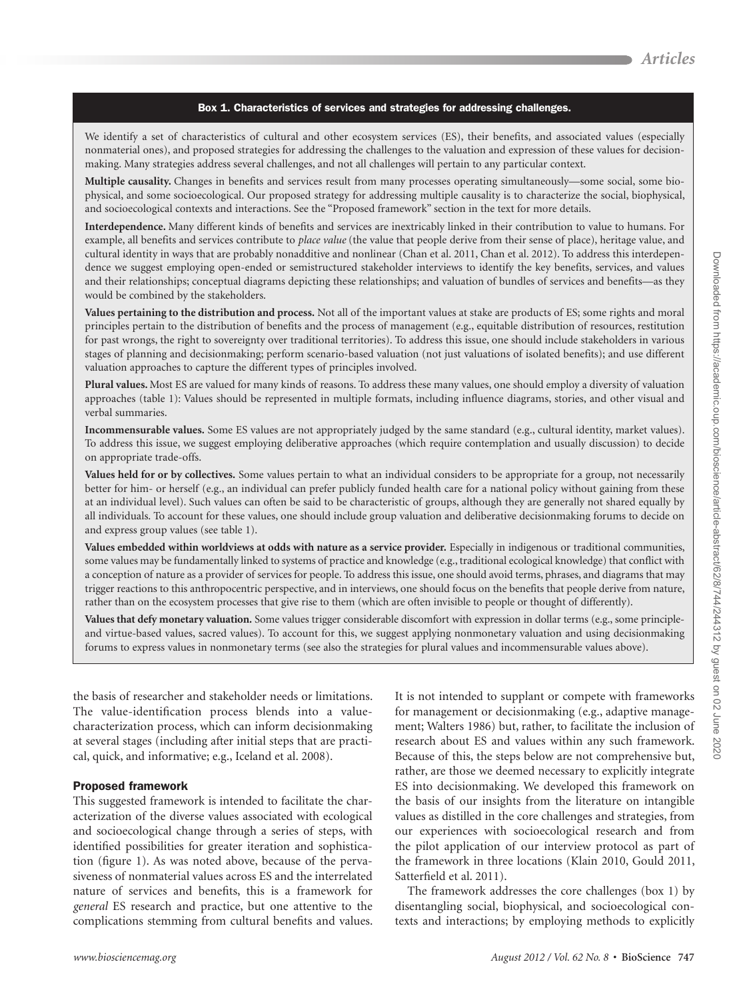#### Box 1. Characteristics of services and strategies for addressing challenges.

We identify a set of characteristics of cultural and other ecosystem services (ES), their benefits, and associated values (especially nonmaterial ones), and proposed strategies for addressing the challenges to the valuation and expression of these values for decisionmaking. Many strategies address several challenges, and not all challenges will pertain to any particular context.

**Multiple causality.** Changes in benefits and services result from many processes operating simultaneously—some social, some biophysical, and some socioecological. Our proposed strategy for addressing multiple causality is to characterize the social, biophysical, and socioecological contexts and interactions. See the "Proposed framework" section in the text for more details.

**Interdependence.** Many different kinds of benefits and services are inextricably linked in their contribution to value to humans. For example, all benefits and services contribute to *place value* (the value that people derive from their sense of place), heritage value, and cultural identity in ways that are probably nonadditive and nonlinear (Chan et al. 2011, Chan et al. 2012). To address this interdependence we suggest employing open-ended or semistructured stakeholder interviews to identify the key benefits, services, and values and their relationships; conceptual diagrams depicting these relationships; and valuation of bundles of services and benefits—as they would be combined by the stakeholders.

**Values pertaining to the distribution and process.** Not all of the important values at stake are products of ES; some rights and moral principles pertain to the distribution of benefits and the process of management (e.g., equitable distribution of resources, restitution for past wrongs, the right to sovereignty over traditional territories). To address this issue, one should include stakeholders in various stages of planning and decisionmaking; perform scenario-based valuation (not just valuations of isolated benefits); and use different valuation approaches to capture the different types of principles involved.

**Plural values.** Most ES are valued for many kinds of reasons. To address these many values, one should employ a diversity of valuation approaches (table 1): Values should be represented in multiple formats, including influence diagrams, stories, and other visual and verbal summaries.

**Incommensurable values.** Some ES values are not appropriately judged by the same standard (e.g., cultural identity, market values). To address this issue, we suggest employing deliberative approaches (which require contemplation and usually discussion) to decide on appropriate trade-offs.

**Values held for or by collectives.** Some values pertain to what an individual considers to be appropriate for a group, not necessarily better for him- or herself (e.g., an individual can prefer publicly funded health care for a national policy without gaining from these at an individual level). Such values can often be said to be characteristic of groups, although they are generally not shared equally by all individuals. To account for these values, one should include group valuation and deliberative decisionmaking forums to decide on and express group values (see table 1).

**Values embedded within worldviews at odds with nature as a service provider.** Especially in indigenous or traditional communities, some values may be fundamentally linked to systems of practice and knowledge (e.g., traditional ecological knowledge) that conflict with a conception of nature as a provider of services for people. To address this issue, one should avoid terms, phrases, and diagrams that may trigger reactions to this anthropocentric perspective, and in interviews, one should focus on the benefits that people derive from nature, rather than on the ecosystem processes that give rise to them (which are often invisible to people or thought of differently).

**Values that defy monetary valuation.** Some values trigger considerable discomfort with expression in dollar terms (e.g., some principleand virtue-based values, sacred values). To account for this, we suggest applying nonmonetary valuation and using decisionmaking forums to express values in nonmonetary terms (see also the strategies for plural values and incommensurable values above).

the basis of researcher and stakeholder needs or limitations. The value-identification process blends into a valuecharacterization process, which can inform decisionmaking at several stages (including after initial steps that are practical, quick, and informative; e.g., Iceland et al. 2008).

#### Proposed framework

This suggested framework is intended to facilitate the characterization of the diverse values associated with ecological and socioecological change through a series of steps, with identified possibilities for greater iteration and sophistication (figure 1). As was noted above, because of the pervasiveness of nonmaterial values across ES and the interrelated nature of services and benefits, this is a framework for *general* ES research and practice, but one attentive to the complications stemming from cultural benefits and values.

It is not intended to supplant or compete with frameworks for management or decisionmaking (e.g., adaptive management; Walters 1986) but, rather, to facilitate the inclusion of research about ES and values within any such framework. Because of this, the steps below are not comprehensive but, rather, are those we deemed necessary to explicitly integrate ES into decisionmaking. We developed this framework on the basis of our insights from the literature on intangible values as distilled in the core challenges and strategies, from our experiences with socioecological research and from the pilot application of our interview protocol as part of the framework in three locations (Klain 2010, Gould 2011, Satterfield et al. 2011).

The framework addresses the core challenges (box 1) by disentangling social, biophysical, and socioecological contexts and interactions; by employing methods to explicitly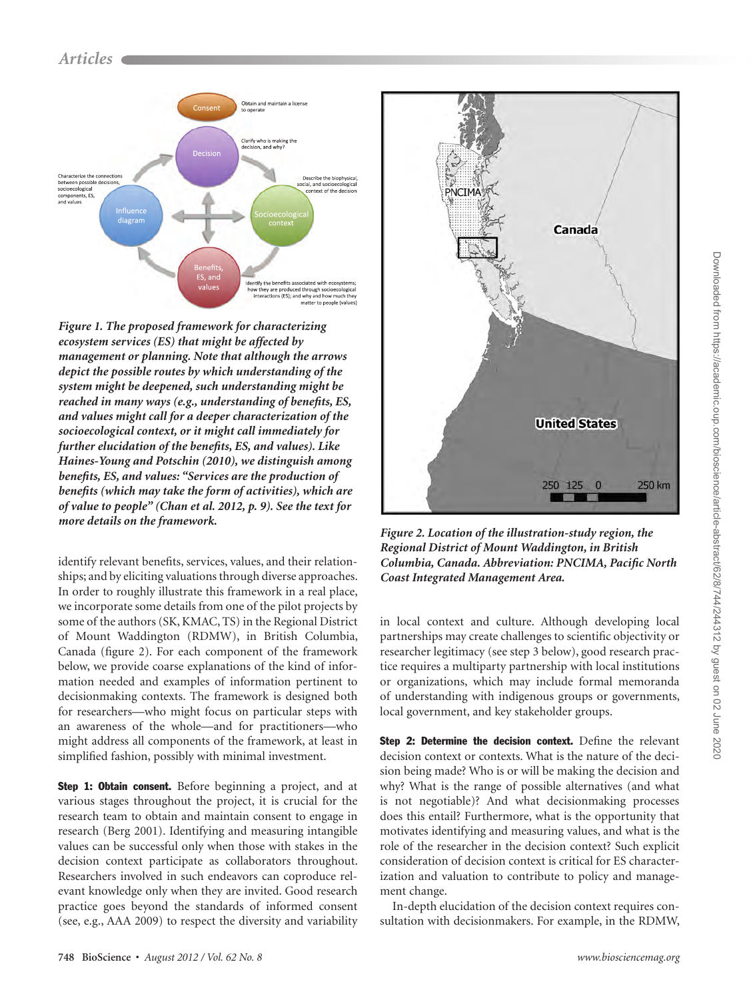

*Figure 1. The proposed framework for characterizing ecosystem services (ES) that might be affected by management or planning. Note that although the arrows depict the possible routes by which understanding of the system might be deepened, such understanding might be reached in many ways (e.g., understanding of benefits, ES, and values might call for a deeper characterization of the socioecological context, or it might call immediately for further elucidation of the benefits, ES, and values). Like Haines-Young and Potschin (2010), we distinguish among benefits, ES, and values: "Services are the production of benefits (which may take the form of activities), which are of value to people" (Chan et al. 2012, p. 9). See the text for more details on the framework. Figure 2. Location of the illustration-study region, the* 

identify relevant benefits, services, values, and their relationships; and by eliciting valuations through diverse approaches. In order to roughly illustrate this framework in a real place, we incorporate some details from one of the pilot projects by some of the authors (SK, KMAC, TS) in the Regional District of Mount Waddington (RDMW), in British Columbia, Canada (figure 2). For each component of the framework below, we provide coarse explanations of the kind of information needed and examples of information pertinent to decisionmaking contexts. The framework is designed both for researchers—who might focus on particular steps with an awareness of the whole—and for practitioners—who might address all components of the framework, at least in simplified fashion, possibly with minimal investment.

Step 1: Obtain consent. Before beginning a project, and at various stages throughout the project, it is crucial for the research team to obtain and maintain consent to engage in research (Berg 2001)*.* Identifying and measuring intangible values can be successful only when those with stakes in the decision context participate as collaborators throughout. Researchers involved in such endeavors can coproduce relevant knowledge only when they are invited. Good research practice goes beyond the standards of informed consent (see, e.g., AAA 2009) to respect the diversity and variability



*Regional District of Mount Waddington, in British Columbia, Canada. Abbreviation: PNCIMA, Pacific North Coast Integrated Management Area.*

in local context and culture. Although developing local partnerships may create challenges to scientific objectivity or researcher legitimacy (see step 3 below), good research practice requires a multiparty partnership with local institutions or organizations, which may include formal memoranda of understanding with indigenous groups or governments, local government, and key stakeholder groups.

Step 2: Determine the decision context. Define the relevant decision context or contexts. What is the nature of the decision being made? Who is or will be making the decision and why? What is the range of possible alternatives (and what is not negotiable)? And what decisionmaking processes does this entail? Furthermore, what is the opportunity that motivates identifying and measuring values, and what is the role of the researcher in the decision context? Such explicit consideration of decision context is critical for ES characterization and valuation to contribute to policy and management change.

In-depth elucidation of the decision context requires consultation with decisionmakers. For example, in the RDMW,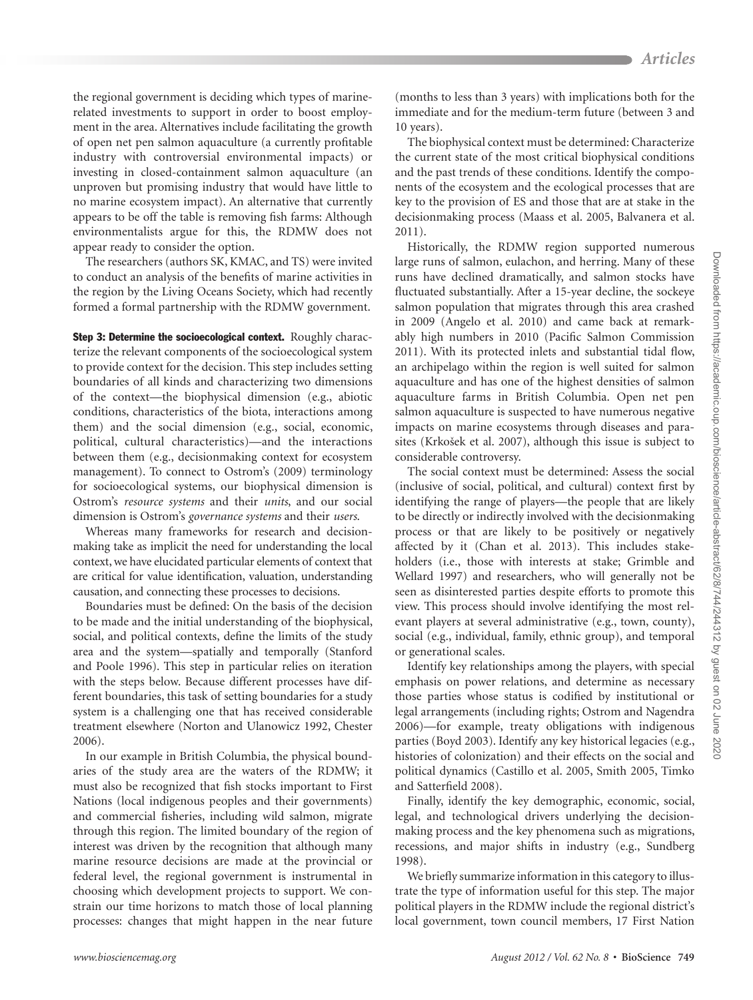the regional government is deciding which types of marinerelated investments to support in order to boost employment in the area. Alternatives include facilitating the growth of open net pen salmon aquaculture (a currently profitable industry with controversial environmental impacts) or investing in closed-containment salmon aquaculture (an unproven but promising industry that would have little to no marine ecosystem impact). An alternative that currently appears to be off the table is removing fish farms: Although environmentalists argue for this, the RDMW does not appear ready to consider the option.

The researchers (authors SK, KMAC, and TS) were invited to conduct an analysis of the benefits of marine activities in the region by the Living Oceans Society, which had recently formed a formal partnership with the RDMW government.

**Step 3: Determine the socioecological context.** Roughly characterize the relevant components of the socioecological system to provide context for the decision. This step includes setting boundaries of all kinds and characterizing two dimensions of the context—the biophysical dimension (e.g., abiotic conditions, characteristics of the biota, interactions among them) and the social dimension (e.g., social, economic, political, cultural characteristics)—and the interactions between them (e.g., decisionmaking context for ecosystem management). To connect to Ostrom's (2009) terminology for socioecological systems, our biophysical dimension is Ostrom's *resource systems* and their *units*, and our social dimension is Ostrom's *governance systems* and their *users*.

Whereas many frameworks for research and decisionmaking take as implicit the need for understanding the local context, we have elucidated particular elements of context that are critical for value identification, valuation, understanding causation, and connecting these processes to decisions.

Boundaries must be defined: On the basis of the decision to be made and the initial understanding of the biophysical, social, and political contexts, define the limits of the study area and the system—spatially and temporally (Stanford and Poole 1996). This step in particular relies on iteration with the steps below. Because different processes have different boundaries, this task of setting boundaries for a study system is a challenging one that has received considerable treatment elsewhere (Norton and Ulanowicz 1992, Chester 2006).

In our example in British Columbia, the physical boundaries of the study area are the waters of the RDMW; it must also be recognized that fish stocks important to First Nations (local indigenous peoples and their governments) and commercial fisheries, including wild salmon, migrate through this region. The limited boundary of the region of interest was driven by the recognition that although many marine resource decisions are made at the provincial or federal level, the regional government is instrumental in choosing which development projects to support. We constrain our time horizons to match those of local planning processes: changes that might happen in the near future (months to less than 3 years) with implications both for the immediate and for the medium-term future (between 3 and 10 years).

The biophysical context must be determined: Characterize the current state of the most critical biophysical conditions and the past trends of these conditions. Identify the components of the ecosystem and the ecological processes that are key to the provision of ES and those that are at stake in the decisionmaking process (Maass et al. 2005, Balvanera et al. 2011).

Historically, the RDMW region supported numerous large runs of salmon, eulachon, and herring. Many of these runs have declined dramatically, and salmon stocks have fluctuated substantially. After a 15-year decline, the sockeye salmon population that migrates through this area crashed in 2009 (Angelo et al. 2010) and came back at remarkably high numbers in 2010 (Pacific Salmon Commission 2011). With its protected inlets and substantial tidal flow, an archipelago within the region is well suited for salmon aquaculture and has one of the highest densities of salmon aquaculture farms in British Columbia. Open net pen salmon aquaculture is suspected to have numerous negative impacts on marine ecosystems through diseases and parasites (Krkošek et al. 2007), although this issue is subject to considerable controversy.

The social context must be determined: Assess the social (inclusive of social, political, and cultural) context first by identifying the range of players—the people that are likely to be directly or indirectly involved with the decisionmaking process or that are likely to be positively or negatively affected by it (Chan et al. 2013). This includes stakeholders (i.e., those with interests at stake; Grimble and Wellard 1997) and researchers, who will generally not be seen as disinterested parties despite efforts to promote this view. This process should involve identifying the most relevant players at several administrative (e.g., town, county), social (e.g., individual, family, ethnic group), and temporal or generational scales.

Identify key relationships among the players, with special emphasis on power relations, and determine as necessary those parties whose status is codified by institutional or legal arrangements (including rights; Ostrom and Nagendra 2006)—for example, treaty obligations with indigenous parties (Boyd 2003). Identify any key historical legacies (e.g., histories of colonization) and their effects on the social and political dynamics (Castillo et al. 2005, Smith 2005, Timko and Satterfield 2008).

Finally, identify the key demographic, economic, social, legal, and technological drivers underlying the decisionmaking process and the key phenomena such as migrations, recessions, and major shifts in industry (e.g., Sundberg 1998).

We briefly summarize information in this category to illustrate the type of information useful for this step. The major political players in the RDMW include the regional district's local government, town council members, 17 First Nation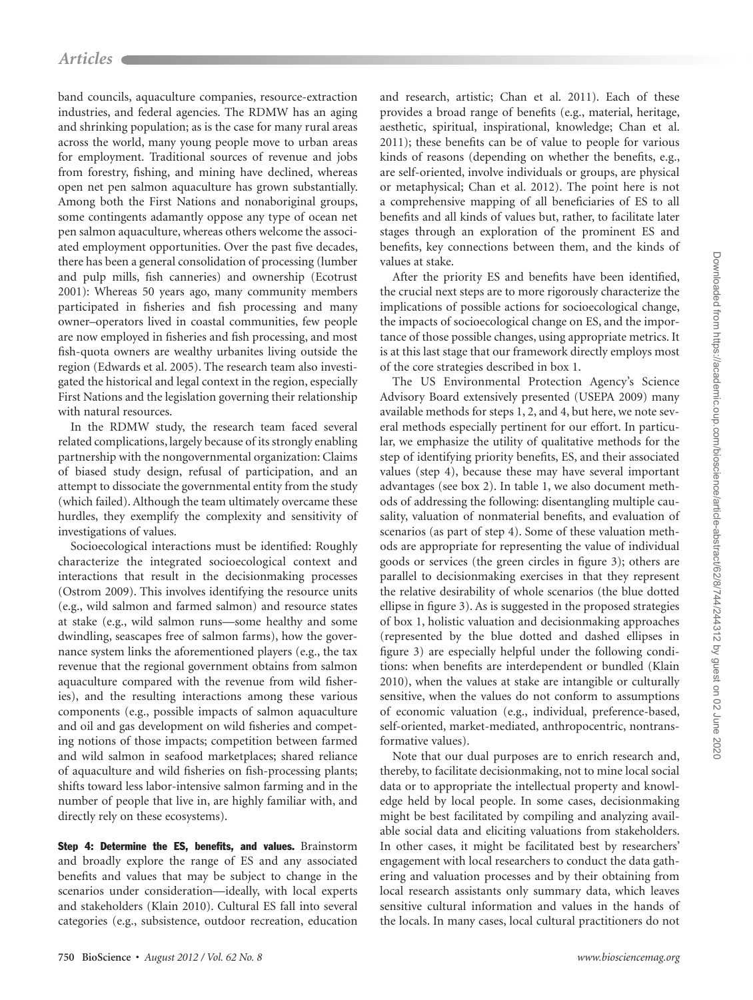band councils, aquaculture companies, resource-extraction industries, and federal agencies. The RDMW has an aging and shrinking population; as is the case for many rural areas across the world, many young people move to urban areas for employment. Traditional sources of revenue and jobs from forestry, fishing, and mining have declined, whereas open net pen salmon aquaculture has grown substantially. Among both the First Nations and nonaboriginal groups, some contingents adamantly oppose any type of ocean net pen salmon aquaculture, whereas others welcome the associated employment opportunities. Over the past five decades, there has been a general consolidation of processing (lumber and pulp mills, fish canneries) and ownership (Ecotrust 2001): Whereas 50 years ago, many community members participated in fisheries and fish processing and many owner–operators lived in coastal communities, few people are now employed in fisheries and fish processing, and most fish-quota owners are wealthy urbanites living outside the region (Edwards et al. 2005). The research team also investigated the historical and legal context in the region, especially First Nations and the legislation governing their relationship with natural resources.

In the RDMW study, the research team faced several related complications, largely because of its strongly enabling partnership with the nongovernmental organization: Claims of biased study design, refusal of participation, and an attempt to dissociate the governmental entity from the study (which failed). Although the team ultimately overcame these hurdles, they exemplify the complexity and sensitivity of investigations of values.

Socioecological interactions must be identified: Roughly characterize the integrated socioecological context and interactions that result in the decisionmaking processes (Ostrom 2009). This involves identifying the resource units (e.g., wild salmon and farmed salmon) and resource states at stake (e.g., wild salmon runs—some healthy and some dwindling, seascapes free of salmon farms), how the governance system links the aforementioned players (e.g., the tax revenue that the regional government obtains from salmon aquaculture compared with the revenue from wild fisheries), and the resulting interactions among these various components (e.g., possible impacts of salmon aquaculture and oil and gas development on wild fisheries and competing notions of those impacts; competition between farmed and wild salmon in seafood marketplaces; shared reliance of aquaculture and wild fisheries on fish-processing plants; shifts toward less labor-intensive salmon farming and in the number of people that live in, are highly familiar with, and directly rely on these ecosystems).

Step 4: Determine the ES, benefits, and values. Brainstorm and broadly explore the range of ES and any associated benefits and values that may be subject to change in the scenarios under consideration—ideally, with local experts and stakeholders (Klain 2010). Cultural ES fall into several categories (e.g., subsistence, outdoor recreation, education and research, artistic; Chan et al. 2011). Each of these provides a broad range of benefits (e.g., material, heritage, aesthetic, spiritual, inspirational, knowledge; Chan et al. 2011); these benefits can be of value to people for various kinds of reasons (depending on whether the benefits, e.g., are self-oriented, involve individuals or groups, are physical or metaphysical; Chan et al. 2012). The point here is not a comprehensive mapping of all beneficiaries of ES to all benefits and all kinds of values but, rather, to facilitate later stages through an exploration of the prominent ES and benefits, key connections between them, and the kinds of values at stake.

After the priority ES and benefits have been identified, the crucial next steps are to more rigorously characterize the implications of possible actions for socioecological change, the impacts of socioecological change on ES, and the importance of those possible changes, using appropriate metrics. It is at this last stage that our framework directly employs most of the core strategies described in box 1.

The US Environmental Protection Agency's Science Advisory Board extensively presented (USEPA 2009) many available methods for steps 1, 2, and 4, but here, we note several methods especially pertinent for our effort. In particular, we emphasize the utility of qualitative methods for the step of identifying priority benefits, ES, and their associated values (step 4), because these may have several important advantages (see box 2). In table 1, we also document methods of addressing the following: disentangling multiple causality, valuation of nonmaterial benefits, and evaluation of scenarios (as part of step 4). Some of these valuation methods are appropriate for representing the value of individual goods or services (the green circles in figure 3); others are parallel to decisionmaking exercises in that they represent the relative desirability of whole scenarios (the blue dotted ellipse in figure 3). As is suggested in the proposed strategies of box 1, holistic valuation and decisionmaking approaches (represented by the blue dotted and dashed ellipses in figure 3) are especially helpful under the following conditions: when benefits are interdependent or bundled (Klain 2010), when the values at stake are intangible or culturally sensitive, when the values do not conform to assumptions of economic valuation (e.g., individual, preference-based, self-oriented, market-mediated, anthropocentric, nontransformative values).

Note that our dual purposes are to enrich research and, thereby, to facilitate decisionmaking, not to mine local social data or to appropriate the intellectual property and knowledge held by local people. In some cases, decisionmaking might be best facilitated by compiling and analyzing available social data and eliciting valuations from stakeholders. In other cases, it might be facilitated best by researchers' engagement with local researchers to conduct the data gathering and valuation processes and by their obtaining from local research assistants only summary data, which leaves sensitive cultural information and values in the hands of the locals. In many cases, local cultural practitioners do not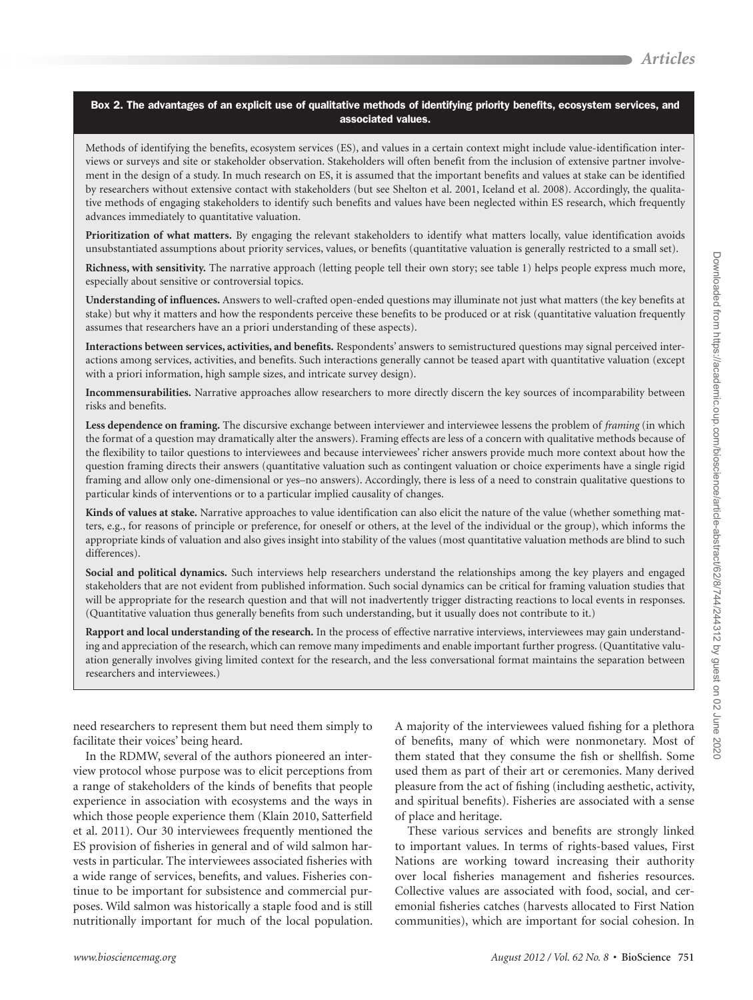#### Box 2. The advantages of an explicit use of qualitative methods of identifying priority benefits, ecosystem services, and associated values.

Methods of identifying the benefits, ecosystem services (ES), and values in a certain context might include value-identification interviews or surveys and site or stakeholder observation. Stakeholders will often benefit from the inclusion of extensive partner involvement in the design of a study. In much research on ES, it is assumed that the important benefits and values at stake can be identified by researchers without extensive contact with stakeholders (but see Shelton et al. 2001, Iceland et al. 2008). Accordingly, the qualitative methods of engaging stakeholders to identify such benefits and values have been neglected within ES research, which frequently advances immediately to quantitative valuation.

**Prioritization of what matters.** By engaging the relevant stakeholders to identify what matters locally, value identification avoids unsubstantiated assumptions about priority services, values, or benefits (quantitative valuation is generally restricted to a small set).

**Richness, with sensitivity.** The narrative approach (letting people tell their own story; see table 1) helps people express much more, especially about sensitive or controversial topics.

**Understanding of influences.** Answers to well-crafted open-ended questions may illuminate not just what matters (the key benefits at stake) but why it matters and how the respondents perceive these benefits to be produced or at risk (quantitative valuation frequently assumes that researchers have an a priori understanding of these aspects).

**Interactions between services, activities, and benefits.** Respondents' answers to semistructured questions may signal perceived interactions among services, activities, and benefits. Such interactions generally cannot be teased apart with quantitative valuation (except with a priori information, high sample sizes, and intricate survey design).

**Incommensurabilities.** Narrative approaches allow researchers to more directly discern the key sources of incomparability between risks and benefits.

**Less dependence on framing.** The discursive exchange between interviewer and interviewee lessens the problem of *framing* (in which the format of a question may dramatically alter the answers). Framing effects are less of a concern with qualitative methods because of the flexibility to tailor questions to interviewees and because interviewees' richer answers provide much more context about how the question framing directs their answers (quantitative valuation such as contingent valuation or choice experiments have a single rigid framing and allow only one-dimensional or yes–no answers). Accordingly, there is less of a need to constrain qualitative questions to particular kinds of interventions or to a particular implied causality of changes.

**Kinds of values at stake.** Narrative approaches to value identification can also elicit the nature of the value (whether something matters, e.g., for reasons of principle or preference, for oneself or others, at the level of the individual or the group), which informs the appropriate kinds of valuation and also gives insight into stability of the values (most quantitative valuation methods are blind to such differences).

**Social and political dynamics.** Such interviews help researchers understand the relationships among the key players and engaged stakeholders that are not evident from published information. Such social dynamics can be critical for framing valuation studies that will be appropriate for the research question and that will not inadvertently trigger distracting reactions to local events in responses. (Quantitative valuation thus generally benefits from such understanding, but it usually does not contribute to it.)

**Rapport and local understanding of the research.** In the process of effective narrative interviews, interviewees may gain understanding and appreciation of the research, which can remove many impediments and enable important further progress. (Quantitative valuation generally involves giving limited context for the research, and the less conversational format maintains the separation between researchers and interviewees.)

need researchers to represent them but need them simply to facilitate their voices' being heard.

In the RDMW, several of the authors pioneered an interview protocol whose purpose was to elicit perceptions from a range of stakeholders of the kinds of benefits that people experience in association with ecosystems and the ways in which those people experience them (Klain 2010, Satterfield et al. 2011). Our 30 interviewees frequently mentioned the ES provision of fisheries in general and of wild salmon harvests in particular. The interviewees associated fisheries with a wide range of services, benefits, and values. Fisheries continue to be important for subsistence and commercial purposes. Wild salmon was historically a staple food and is still nutritionally important for much of the local population. A majority of the interviewees valued fishing for a plethora of benefits, many of which were nonmonetary. Most of them stated that they consume the fish or shellfish. Some used them as part of their art or ceremonies. Many derived pleasure from the act of fishing (including aesthetic, activity, and spiritual benefits). Fisheries are associated with a sense of place and heritage.

These various services and benefits are strongly linked to important values. In terms of rights-based values, First Nations are working toward increasing their authority over local fisheries management and fisheries resources. Collective values are associated with food, social, and ceremonial fisheries catches (harvests allocated to First Nation communities), which are important for social cohesion. In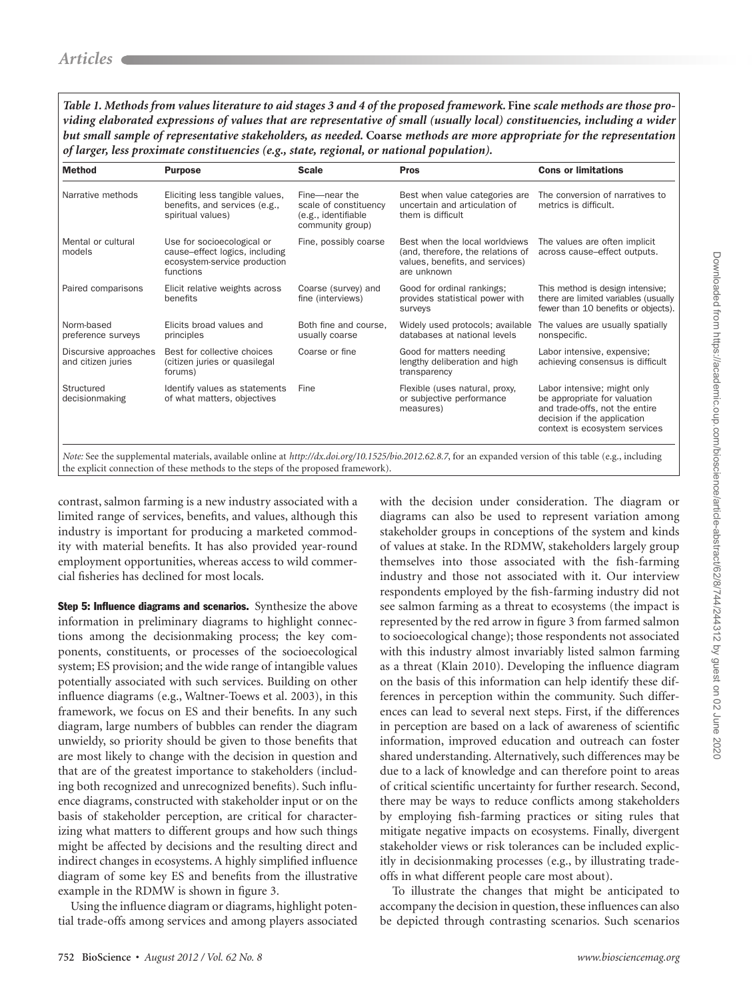*Table 1. Methods from values literature to aid stages 3 and 4 of the proposed framework.* **Fine** *scale methods are those providing elaborated expressions of values that are representative of small (usually local) constituencies, including a wider but small sample of representative stakeholders, as needed.* **Coarse** *methods are more appropriate for the representation of larger, less proximate constituencies (e.g., state, regional, or national population).*

| <b>Method</b>                               | <b>Purpose</b>                                                                                            | <b>Scale</b>                                                                      | <b>Pros</b>                                                                                                           | <b>Cons or limitations</b>                                                                                                                                    |
|---------------------------------------------|-----------------------------------------------------------------------------------------------------------|-----------------------------------------------------------------------------------|-----------------------------------------------------------------------------------------------------------------------|---------------------------------------------------------------------------------------------------------------------------------------------------------------|
| Narrative methods                           | Eliciting less tangible values,<br>benefits, and services (e.g.,<br>spiritual values)                     | Fine-near the<br>scale of constituency<br>(e.g., identifiable<br>community group) | Best when value categories are<br>uncertain and articulation of<br>them is difficult                                  | The conversion of narratives to<br>metrics is difficult.                                                                                                      |
| Mental or cultural<br>models                | Use for socioecological or<br>cause-effect logics, including<br>ecosystem-service production<br>functions | Fine, possibly coarse                                                             | Best when the local worldviews<br>(and, therefore, the relations of<br>values, benefits, and services)<br>are unknown | The values are often implicit<br>across cause-effect outputs.                                                                                                 |
| Paired comparisons                          | Elicit relative weights across<br>benefits                                                                | Coarse (survey) and<br>fine (interviews)                                          | Good for ordinal rankings;<br>provides statistical power with<br>surveys                                              | This method is design intensive;<br>there are limited variables (usually<br>fewer than 10 benefits or objects).                                               |
| Norm-based<br>preference surveys            | Elicits broad values and<br>principles                                                                    | Both fine and course.<br>usually coarse                                           | Widely used protocols; available<br>databases at national levels                                                      | The values are usually spatially<br>nonspecific.                                                                                                              |
| Discursive approaches<br>and citizen juries | Best for collective choices<br>(citizen juries or quasilegal<br>forums)                                   | Coarse or fine                                                                    | Good for matters needing<br>lengthy deliberation and high<br>transparency                                             | Labor intensive, expensive;<br>achieving consensus is difficult                                                                                               |
| Structured<br>decisionmaking                | Identify values as statements<br>of what matters, objectives                                              | Fine                                                                              | Flexible (uses natural, proxy,<br>or subjective performance<br>measures)                                              | Labor intensive; might only<br>be appropriate for valuation<br>and trade-offs, not the entire<br>decision if the application<br>context is ecosystem services |

the explicit connection of these methods to the steps of the proposed framework).

contrast, salmon farming is a new industry associated with a limited range of services, benefits, and values, although this industry is important for producing a marketed commodity with material benefits. It has also provided year-round employment opportunities, whereas access to wild commercial fisheries has declined for most locals.

Step 5: Influence diagrams and scenarios. Synthesize the above information in preliminary diagrams to highlight connections among the decisionmaking process; the key components, constituents, or processes of the socioecological system; ES provision; and the wide range of intangible values potentially associated with such services. Building on other influence diagrams (e.g., Waltner-Toews et al. 2003), in this framework, we focus on ES and their benefits. In any such diagram, large numbers of bubbles can render the diagram unwieldy, so priority should be given to those benefits that are most likely to change with the decision in question and that are of the greatest importance to stakeholders (including both recognized and unrecognized benefits). Such influence diagrams, constructed with stakeholder input or on the basis of stakeholder perception, are critical for characterizing what matters to different groups and how such things might be affected by decisions and the resulting direct and indirect changes in ecosystems. A highly simplified influence diagram of some key ES and benefits from the illustrative example in the RDMW is shown in figure 3*.*

Using the influence diagram or diagrams, highlight potential trade-offs among services and among players associated with the decision under consideration. The diagram or diagrams can also be used to represent variation among stakeholder groups in conceptions of the system and kinds of values at stake. In the RDMW, stakeholders largely group themselves into those associated with the fish-farming industry and those not associated with it. Our interview respondents employed by the fish-farming industry did not see salmon farming as a threat to ecosystems (the impact is represented by the red arrow in figure 3 from farmed salmon to socioecological change); those respondents not associated with this industry almost invariably listed salmon farming as a threat (Klain 2010). Developing the influence diagram on the basis of this information can help identify these differences in perception within the community. Such differences can lead to several next steps. First, if the differences in perception are based on a lack of awareness of scientific information, improved education and outreach can foster shared understanding. Alternatively, such differences may be due to a lack of knowledge and can therefore point to areas of critical scientific uncertainty for further research. Second, there may be ways to reduce conflicts among stakeholders by employing fish-farming practices or siting rules that mitigate negative impacts on ecosystems. Finally, divergent stakeholder views or risk tolerances can be included explicitly in decisionmaking processes (e.g., by illustrating tradeoffs in what different people care most about).

To illustrate the changes that might be anticipated to accompany the decision in question, these influences can also be depicted through contrasting scenarios. Such scenarios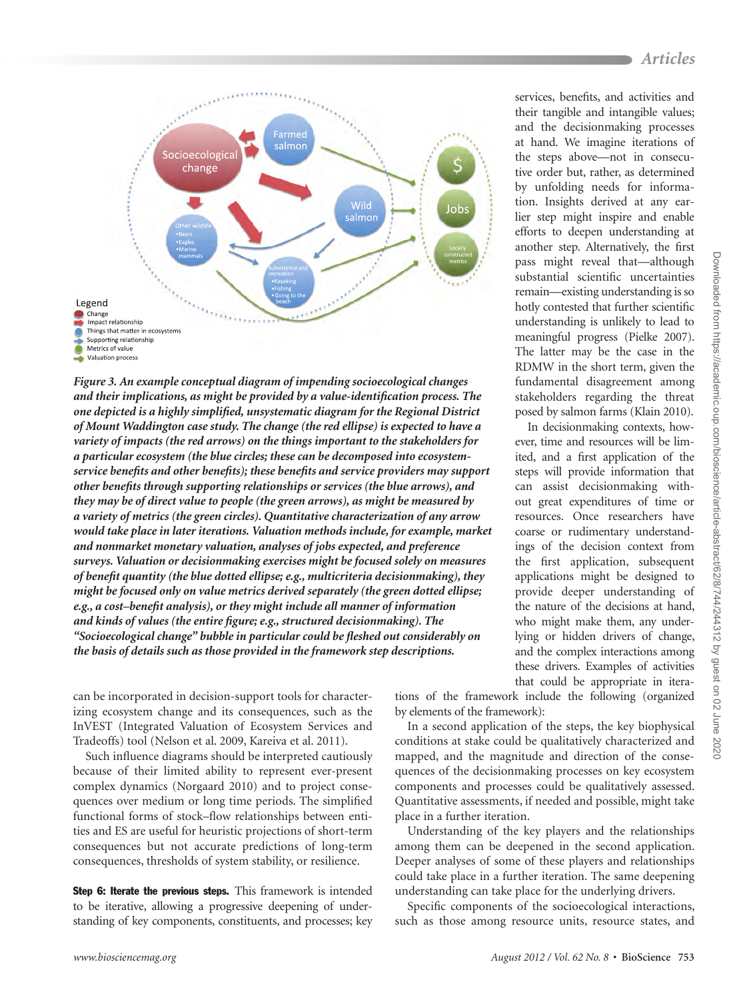

*Figure 3. An example conceptual diagram of impending socioecological changes and their implications, as might be provided by a value-identification process. The one depicted is a highly simplified, unsystematic diagram for the Regional District of Mount Waddington case study. The change (the red ellipse) is expected to have a variety of impacts (the red arrows) on the things important to the stakeholders for a particular ecosystem (the blue circles; these can be decomposed into ecosystemservice benefits and other benefits); these benefits and service providers may support other benefits through supporting relationships or services (the blue arrows), and they may be of direct value to people (the green arrows), as might be measured by a variety of metrics (the green circles). Quantitative characterization of any arrow would take place in later iterations. Valuation methods include, for example, market and nonmarket monetary valuation, analyses of jobs expected, and preference surveys. Valuation or decisionmaking exercises might be focused solely on measures of benefit quantity (the blue dotted ellipse; e.g., multicriteria decisionmaking), they might be focused only on value metrics derived separately (the green dotted ellipse; e.g., a cost–benefit analysis), or they might include all manner of information and kinds of values (the entire figure; e.g., structured decisionmaking). The "Socioecological change" bubble in particular could be fleshed out considerably on the basis of details such as those provided in the framework step descriptions.*

can be incorporated in decision-support tools for characterizing ecosystem change and its consequences, such as the InVEST (Integrated Valuation of Ecosystem Services and Tradeoffs) tool (Nelson et al. 2009, Kareiva et al. 2011).

Such influence diagrams should be interpreted cautiously because of their limited ability to represent ever-present complex dynamics (Norgaard 2010) and to project consequences over medium or long time periods. The simplified functional forms of stock–flow relationships between entities and ES are useful for heuristic projections of short-term consequences but not accurate predictions of long-term consequences, thresholds of system stability, or resilience.

Step 6: Iterate the previous steps. This framework is intended to be iterative, allowing a progressive deepening of understanding of key components, constituents, and processes; key services, benefits, and activities and their tangible and intangible values; and the decisionmaking processes at hand. We imagine iterations of the steps above—not in consecutive order but, rather, as determined by unfolding needs for information. Insights derived at any earlier step might inspire and enable efforts to deepen understanding at another step. Alternatively, the first pass might reveal that—although substantial scientific uncertainties remain—existing understanding is so hotly contested that further scientific understanding is unlikely to lead to meaningful progress (Pielke 2007). The latter may be the case in the RDMW in the short term, given the fundamental disagreement among stakeholders regarding the threat posed by salmon farms (Klain 2010).

In decisionmaking contexts, however, time and resources will be limited, and a first application of the steps will provide information that can assist decisionmaking without great expenditures of time or resources. Once researchers have coarse or rudimentary understandings of the decision context from the first application, subsequent applications might be designed to provide deeper understanding of the nature of the decisions at hand, who might make them, any underlying or hidden drivers of change, and the complex interactions among these drivers. Examples of activities that could be appropriate in itera-

tions of the framework include the following (organized by elements of the framework):

In a second application of the steps, the key biophysical conditions at stake could be qualitatively characterized and mapped, and the magnitude and direction of the consequences of the decisionmaking processes on key ecosystem components and processes could be qualitatively assessed. Quantitative assessments, if needed and possible, might take place in a further iteration.

Understanding of the key players and the relationships among them can be deepened in the second application. Deeper analyses of some of these players and relationships could take place in a further iteration. The same deepening understanding can take place for the underlying drivers.

Specific components of the socioecological interactions, such as those among resource units, resource states, and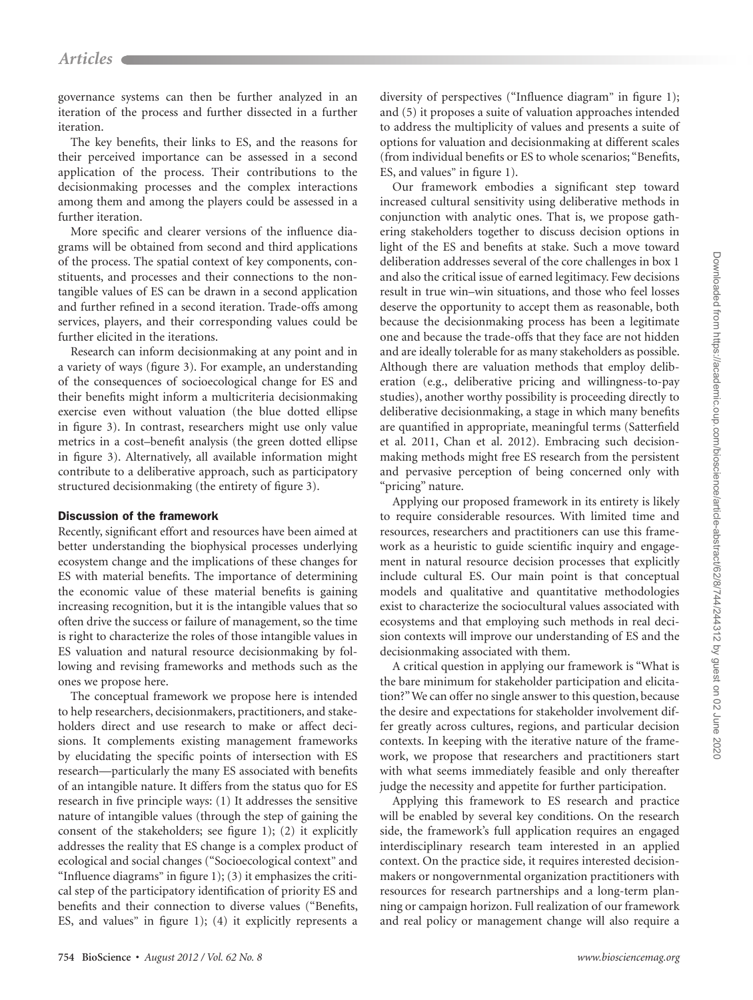governance systems can then be further analyzed in an iteration of the process and further dissected in a further iteration.

The key benefits, their links to ES, and the reasons for their perceived importance can be assessed in a second application of the process. Their contributions to the decisionmaking processes and the complex interactions among them and among the players could be assessed in a further iteration.

More specific and clearer versions of the influence diagrams will be obtained from second and third applications of the process. The spatial context of key components, constituents, and processes and their connections to the nontangible values of ES can be drawn in a second application and further refined in a second iteration. Trade-offs among services, players, and their corresponding values could be further elicited in the iterations.

Research can inform decisionmaking at any point and in a variety of ways (figure 3). For example, an understanding of the consequences of socioecological change for ES and their benefits might inform a multicriteria decisionmaking exercise even without valuation (the blue dotted ellipse in figure 3). In contrast, researchers might use only value metrics in a cost–benefit analysis (the green dotted ellipse in figure 3). Alternatively, all available information might contribute to a deliberative approach, such as participatory structured decisionmaking (the entirety of figure 3).

#### Discussion of the framework

Recently, significant effort and resources have been aimed at better understanding the biophysical processes underlying ecosystem change and the implications of these changes for ES with material benefits. The importance of determining the economic value of these material benefits is gaining increasing recognition, but it is the intangible values that so often drive the success or failure of management, so the time is right to characterize the roles of those intangible values in ES valuation and natural resource decisionmaking by following and revising frameworks and methods such as the ones we propose here.

The conceptual framework we propose here is intended to help researchers, decisionmakers, practitioners, and stakeholders direct and use research to make or affect decisions. It complements existing management frameworks by elucidating the specific points of intersection with ES research—particularly the many ES associated with benefits of an intangible nature. It differs from the status quo for ES research in five principle ways: (1) It addresses the sensitive nature of intangible values (through the step of gaining the consent of the stakeholders; see figure 1); (2) it explicitly addresses the reality that ES change is a complex product of ecological and social changes ("Socioecological context" and "Influence diagrams" in figure  $1$ ); (3) it emphasizes the critical step of the participatory identification of priority ES and benefits and their connection to diverse values ("Benefits, ES, and values" in figure 1); (4) it explicitly represents a

diversity of perspectives ("Influence diagram" in figure 1); and (5) it proposes a suite of valuation approaches intended to address the multiplicity of values and presents a suite of options for valuation and decisionmaking at different scales (from individual benefits or ES to whole scenarios; "Benefits, ES, and values" in figure 1).

Our framework embodies a significant step toward increased cultural sensitivity using deliberative methods in conjunction with analytic ones. That is, we propose gathering stakeholders together to discuss decision options in light of the ES and benefits at stake. Such a move toward deliberation addresses several of the core challenges in box 1 and also the critical issue of earned legitimacy. Few decisions result in true win–win situations, and those who feel losses deserve the opportunity to accept them as reasonable, both because the decisionmaking process has been a legitimate one and because the trade-offs that they face are not hidden and are ideally tolerable for as many stakeholders as possible. Although there are valuation methods that employ deliberation (e.g., deliberative pricing and willingness-to-pay studies), another worthy possibility is proceeding directly to deliberative decisionmaking, a stage in which many benefits are quantified in appropriate, meaningful terms (Satterfield et al. 2011, Chan et al. 2012). Embracing such decisionmaking methods might free ES research from the persistent and pervasive perception of being concerned only with "pricing" nature.

Applying our proposed framework in its entirety is likely to require considerable resources. With limited time and resources, researchers and practitioners can use this framework as a heuristic to guide scientific inquiry and engagement in natural resource decision processes that explicitly include cultural ES. Our main point is that conceptual models and qualitative and quantitative methodologies exist to characterize the sociocultural values associated with ecosystems and that employing such methods in real decision contexts will improve our understanding of ES and the decisionmaking associated with them.

A critical question in applying our framework is "What is the bare minimum for stakeholder participation and elicitation?" We can offer no single answer to this question, because the desire and expectations for stakeholder involvement differ greatly across cultures, regions, and particular decision contexts. In keeping with the iterative nature of the framework, we propose that researchers and practitioners start with what seems immediately feasible and only thereafter judge the necessity and appetite for further participation.

Applying this framework to ES research and practice will be enabled by several key conditions. On the research side, the framework's full application requires an engaged interdisciplinary research team interested in an applied context. On the practice side, it requires interested decisionmakers or nongovernmental organization practitioners with resources for research partnerships and a long-term planning or campaign horizon. Full realization of our framework and real policy or management change will also require a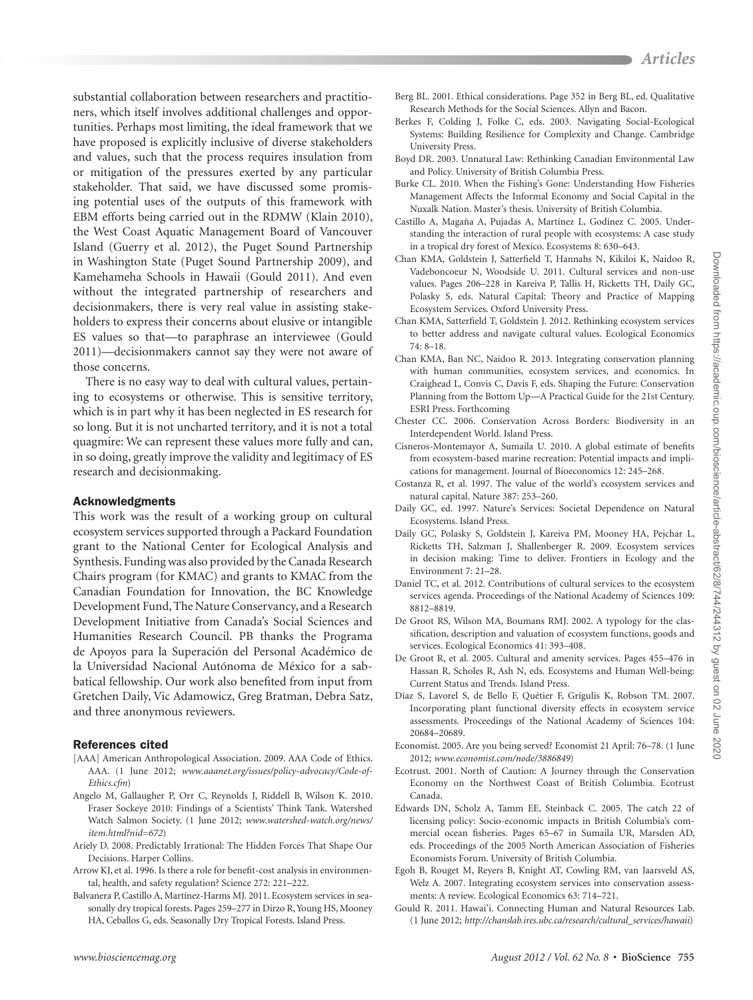substantial collaboration between researchers and practitioners, which itself involves additional challenges and opportunities. Perhaps most limiting, the ideal framework that we have proposed is explicitly inclusive of diverse stakeholders and values, such that the process requires insulation from or mitigation of the pressures exerted by any particular stakeholder. That said, we have discussed some promising potential uses of the outputs of this framework with EBM efforts being carried out in the RDMW (Klain 2010), the West Coast Aquatic Management Board of Vancouver Island (Guerry et al. 2012), the Puget Sound Partnership in Washington State (Puget Sound Partnership 2009), and Kamehameha Schools in Hawaii (Gould 2011). And even without the integrated partnership of researchers and decisionmakers, there is very real value in assisting stakeholders to express their concerns about elusive or intangible ES values so that—to paraphrase an interviewee (Gould 2011)—decisionmakers cannot say they were not aware of those concerns.

There is no easy way to deal with cultural values, pertaining to ecosystems or otherwise. This is sensitive territory, which is in part why it has been neglected in ES research for so long. But it is not uncharted territory, and it is not a total quagmire: We can represent these values more fully and can, in so doing, greatly improve the validity and legitimacy of ES research and decisionmaking.

#### Acknowledgments

This work was the result of a working group on cultural ecosystem services supported through a Packard Foundation grant to the National Center for Ecological Analysis and Synthesis. Funding was also provided by the Canada Research Chairs program (for KMAC) and grants to KMAC from the Canadian Foundation for Innovation, the BC Knowledge Development Fund, The Nature Conservancy, and a Research Development Initiative from Canada's Social Sciences and Humanities Research Council. PB thanks the Programa de Apoyos para la Superación del Personal Académico de la Universidad Nacional Autónoma de México for a sabbatical fellowship. Our work also benefited from input from Gretchen Daily, Vic Adamowicz, Greg Bratman, Debra Satz, and three anonymous reviewers.

## References cited

- [AAA] American Anthropological Association. 2009. AAA Code of Ethics. AAA. (1 June 2012; *www.aaanet.org/issues/policy-advocacy/Code-of-Ethics.cfm*)
- Angelo M, Gallaugher P, Orr C, Reynolds J, Riddell B, Wilson K. 2010. Fraser Sockeye 2010: Findings of a Scientists' Think Tank. Watershed Watch Salmon Society. (1 June 2012; *www.watershed-watch.org/news/ item.html?nid=672*)
- Ariely D. 2008. Predictably Irrational: The Hidden Forces That Shape Our Decisions. Harper Collins.
- Arrow KJ, et al. 1996. Is there a role for benefit-cost analysis in environmental, health, and safety regulation? Science 272: 221–222.
- Balvanera P, Castillo A, Martínez-Harms MJ. 2011. Ecosystem services in seasonally dry tropical forests. Pages 259–277 in Dirzo R, Young HS, Mooney HA, Ceballos G, eds. Seasonally Dry Tropical Forests. Island Press.
- Berg BL. 2001. Ethical considerations. Page 352 in Berg BL, ed. Qualitative Research Methods for the Social Sciences. Allyn and Bacon.
- Berkes F, Colding J, Folke C, eds. 2003. Navigating Social-Ecological Systems: Building Resilience for Complexity and Change. Cambridge University Press.
- Boyd DR. 2003. Unnatural Law: Rethinking Canadian Environmental Law and Policy. University of British Columbia Press.
- Burke CL. 2010. When the Fishing's Gone: Understanding How Fisheries Management Affects the Informal Economy and Social Capital in the Nuxalk Nation. Master's thesis. University of British Columbia.
- Castillo A, Magaña A, Pujadas A, Martínez L, Godínez C. 2005. Understanding the interaction of rural people with ecosystems: A case study in a tropical dry forest of Mexico. Ecosystems 8: 630–643.
- Chan KMA, Goldstein J, Satterfield T, Hannahs N, Kikiloi K, Naidoo R, Vadeboncoeur N, Woodside U. 2011. Cultural services and non-use values. Pages 206–228 in Kareiva P, Tallis H, Ricketts TH, Daily GC, Polasky S, eds. Natural Capital: Theory and Practice of Mapping Ecosystem Services. Oxford University Press.
- Chan KMA, Satterfield T, Goldstein J. 2012. Rethinking ecosystem services to better address and navigate cultural values. Ecological Economics 74: 8–18.
- Chan KMA, Ban NC, Naidoo R. 2013. Integrating conservation planning with human communities, ecosystem services, and economics. In Craighead L, Convis C, Davis F, eds. Shaping the Future: Conservation Planning from the Bottom Up—A Practical Guide for the 21st Century. ESRI Press. Forthcoming
- Chester CC. 2006. Conservation Across Borders: Biodiversity in an Interdependent World. Island Press.
- Cisneros-Montemayor A, Sumaila U. 2010. A global estimate of benefits from ecosystem-based marine recreation: Potential impacts and implications for management. Journal of Bioeconomics 12: 245–268.
- Costanza R, et al. 1997. The value of the world's ecosystem services and natural capital. Nature 387: 253–260.
- Daily GC, ed. 1997. Nature's Services: Societal Dependence on Natural Ecosystems. Island Press.
- Daily GC, Polasky S, Goldstein J, Kareiva PM, Mooney HA, Pejchar L, Ricketts TH, Salzman J, Shallenberger R. 2009. Ecosystem services in decision making: Time to deliver. Frontiers in Ecology and the Environment 7: 21–28.
- Daniel TC, et al. 2012. Contributions of cultural services to the ecosystem services agenda. Proceedings of the National Academy of Sciences 109: 8812–8819.
- De Groot RS, Wilson MA, Boumans RMJ. 2002. A typology for the classification, description and valuation of ecosystem functions, goods and services. Ecological Economics 41: 393–408.
- De Groot R, et al. 2005. Cultural and amenity services. Pages 455–476 in Hassan R, Scholes R, Ash N, eds. Ecosystems and Human Well-being: Current Status and Trends. Island Press.
- Díaz S, Lavorel S, de Bello F, Quétier F, Grigulis K, Robson TM. 2007. Incorporating plant functional diversity effects in ecosystem service assessments. Proceedings of the National Academy of Sciences 104: 20684–20689.
- Economist. 2005. Are you being served? Economist 21 April: 76–78. (1 June 2012; *www.economist.com/node/3886849*)
- Ecotrust. 2001. North of Caution: A Journey through the Conservation Economy on the Northwest Coast of British Columbia. Ecotrust Canada.
- Edwards DN, Scholz A, Tamm EE, Steinback C. 2005. The catch 22 of licensing policy: Socio-economic impacts in British Columbia's commercial ocean fisheries. Pages 65–67 in Sumaila UR, Marsden AD, eds. Proceedings of the 2005 North American Association of Fisheries Economists Forum. University of British Columbia.
- Egoh B, Rouget M, Reyers B, Knight AT, Cowling RM, van Jaarsveld AS, Welz A. 2007. Integrating ecosystem services into conservation assessments: A review. Ecological Economics 63: 714–721.
- Gould R. 2011. Hawai'i. Connecting Human and Natural Resources Lab. (1 June 2012; *http://chanslab.ires.ubc.ca/research/cultural\_services/hawaii*)